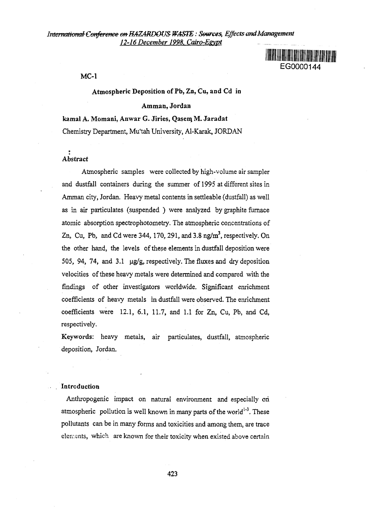

MC-1

### Atmospheric Deposition of Pb, Zn, Cu, and Cd in

#### Amman, Jordan

kamal A. Momani, Anwar G. Jiries, Qasem, M. Jaradat Chemistry Department, Mu'tah University, Al-Karak, JORDAN

# Abstract

Atmospheric samples were collected by high-volume air sampler and dustfall containers during the summer of 1995 at different sites in Amman city, Jordan. Heavy metal contents in settleable (dustfall) as well as in air particulates (suspended ) were analyzed by graphite furnace atomic absorption spectrophotometry. The atmospheric concentrations of Zn, Cu, Pb, and Cd were 344, 170, 291, and 3.8 ng/ $m<sup>3</sup>$ , respectively. On the other hand, the levels of these elements in dustfall deposition were 505, 94, 74, and 3.1  $\mu$ g/g, respectively. The fluxes and dry deposition velocities of these heavy metals were determined and compared with the findings of other investigators worldwide. Significant enrichment coefficients of heavy metals in dustfall were observed. The enrichment coefficients were 12.1, 6.1, 11.7, and 1.1 for Zn, Cu, Pb, and Cd, respectively.

Keywords: heavy metals, air particulates, dustfall, atmospheric deposition, Jordan.

### Introduction

Anthropogenic impact on natural environment and especially on atmospheric pollution is well known in many parts of the world<sup>1-3</sup>. These pollutants can be in many forms and toxicities and among them, are trace elements, which are known for their toxicity when existed above certain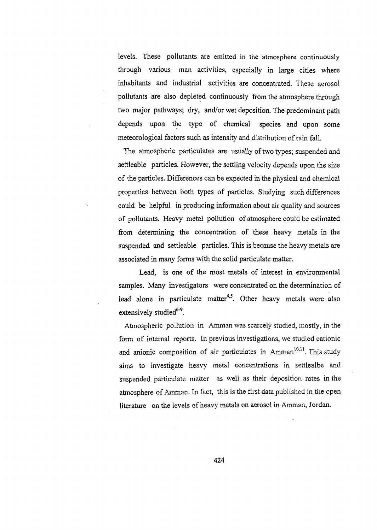levels. These pollutants are emitted in the atmosphere continuously through various man activities, especially in large cities where inhabitants and industrial activities are concentrated. These aerosol pollutants are also depleted continuously from the atmosphere through two major pathways; dry, and/or wet deposition. The predominant path depends upon the type of chemical species and upon some meteorological factors such as intensity and distribution of rain fall.

The atmospheric particuiates are usually of two types; suspended and settleable particles. However, the settling velocity depends upon the size of the particles. Differences can be expected in the physical and chemical properties between both types of particles. Studying such differences could be helpful in producing information about air quality and sources of pollutants. Heavy metal pollution of atmosphere could be estimated from determining the concentration of these heavy metals in the suspended and settleable particles. This is because the heavy metals are associated in many forms with the solid particulate matter.

Lead, is one of the most metals of interest in environmental samples. Many investigators were concentrated on the determination of lead alone in particulate matter<sup>4,5</sup>. Other heavy metals were also extensively studied<sup>6-9</sup>.

Atmospheric pollution in Amman was scarcely studied, mostly, in the form of internal reports. In previous investigations, we studied cationic and anionic composition of air particulates in Amman<sup>10,11</sup>. This study aims to investigate heavy metal concentrations in settlealbe and suspended particulate matter as well as their deposition rates in the atmosphere of Amman. In fact, this is the first data published in the open literature on the levels of heavy metals on aerosol in Amman, Jordan.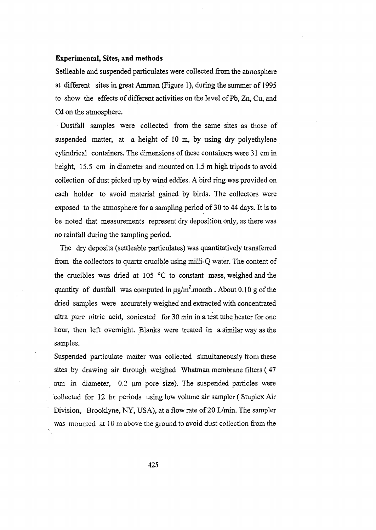# **Experimental, Sites, and methods**

Setlleable and suspended particulates were collected from the atmosphere at different sites in great Amman (Figure 1), during the summer of 1995 to show the effects of different activities on the level of Pb,Zn, Cu, and Cd on the atmosphere.

Dustfall samples were collected from the same sites as those of suspended matter, at a height of 10 m, by using dry polyethylene cylindrical containers. The dimensions of these containers were 31 cm in height, 15.5 cm in diameter and mounted on 1.5 m high tripods to avoid collection of dust picked up by wind eddies. A bird ring was provided on each holder to avoid material gained by birds. The collectors were exposed to the atmosphere for a sampling period of 30 to 44 days. It is to be noted that measurements represent dry deposition only, as there was no rainfall during the sampling period.

The dry deposits (settleable particulates) was quantitatively transferred from the collectors to quartz crucible using milli-Q water. The content of the crucibles was dried at 105 °C to constant mass, weighed and the quantity of dustfall was computed in  $\mu$ g/m<sup>2</sup>.month. About 0.10 g of the dried samples were accurately weighed and extracted with concentrated ultra pure nitric acid, sonicated for 30 min in a test tube heater for one hour, then left overnight. Blanks were treated in a similar way as the samples.

Suspended particulate matter was collected simultaneously from these sites by drawing air through weighed Whatman membrane filters (47 mm in diameter,  $0.2 \mu m$  pore size). The suspended particles were collected for 12 hr periods using low volume air sampler (Stuplex Air Division, Brooklyne, NY, USA), at a flow rate of 20 L/min. The sampler was mounted at 10 m above the ground to avoid dust collection from the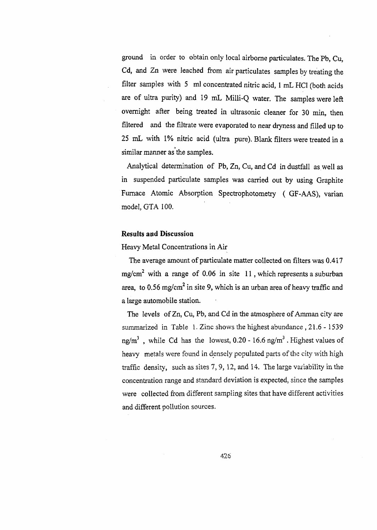ground in order to obtain only local airborne particulates. The Pb, Cu, Cd, and Zn were leached from air particulates samples by treating the filter samples with 5 ml concentrated nitric acid, 1 mL HCl (both acids are of ultra purity) and 19 mL Milli-Q water. The samples were left overnight after being treated in ultrasonic cleaner for 30 min, then filtered and the filtrate were evaporated to near dryness and filled up to 25 mL with 1% nitric acid (ultra pure). Blank filters were treated in a similar manner as the samples.

Analytical determination of Pb, Zn, Cu, and Cd in dustfall as well as in suspended particulate samples was carried out by using Graphite Furnace Atomic Absorption Spectrophotometry ( GF-AAS), varian model, GTA 100.

# **Results and Discussion**

Heavy Metal Concentrations in Air

The average amount of particulate matter collected on filters was 0.417 mg/cm<sup>2</sup> with a range of 0.06 in site 11, which represents a suburban area, to 0.56 mg/cm<sup>2</sup> in site 9, which is an urban area of heavy traffic and a large automobile station.

The levels of Zn, Cu, Pb, and Cd in the atmosphere of Amman city are summarized in Table 1. Zinc shows the highest abundance , 21.6 - 1539 ng/m $^3$  , while Cd has the lowest, 0.20 - 16.6 ng/m $^3$  . Highest values of heavy metals were found in densely populated parts of the city with high traffic density, such as sites *1,* 9, 12, and 14. The large variability in the concentration range and standard deviation is expected, since the samples were collected from different sampling sites that have different activities and different pollution sources.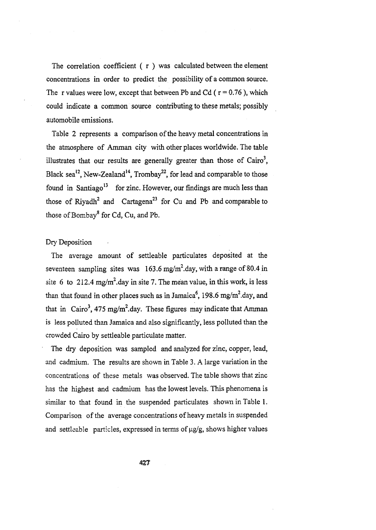The correlation coefficient  $(r)$  was calculated between the element concentrations in order to predict the possibility of a common source. The r values were low, except that between Pb and Cd ( $r = 0.76$ ), which could indicate a common source contributing to these metals; possibly automobile emissions.

Table 2 represents a comparison of the heavy metal concentrations in the atmosphere of Amman city with other places worldwide. The table illustrates that our results are generally greater than those of  $\text{Cairo}^3$ , Black sea<sup>12</sup>, New-Zealand<sup>14</sup>, Trombay<sup>22</sup>, for lead and comparable to those found in Santiago<sup>13</sup> for zinc. However, our findings are much less than those of Riyadh<sup>2</sup> and Cartagena<sup>23</sup> for Cu and Pb and comparable to those of Bombay<sup>8</sup> for Cd, Cu, and Pb.

### Dry Deposition

The average amount of settleable particulates deposited at the seventeen sampling sites was  $163.6 \text{ mg/m}^2$ .day, with a range of 80.4 in site 6 to 212.4 mg/m<sup>2</sup>.day in site 7. The mean value, in this work, is less than that found in other places such as in Jamaica<sup>6</sup>, 198.6 mg/m<sup>2</sup>.day, and that in Cairo<sup>3</sup>, 475 mg/m<sup>2</sup>.day. These figures may indicate that Amman is less polluted than Jamaica and also significantly, less polluted than the crowded Cairo by settleable particulate matter.

The dry deposition was sampled and analyzed for zinc, copper, lead, and cadmium. The results are shown in Table 3. A large variation in the concentrations of these metals was observed. The table shows that zinc has the highest and cadmium has the lowest levels. This phenomena is similar to that found in the suspended particulates shown in Table 1. Comparison of the average concentrations of heavy metals in suspended and settleable particles, expressed in terms of  $\mu$ g/g, shows higher values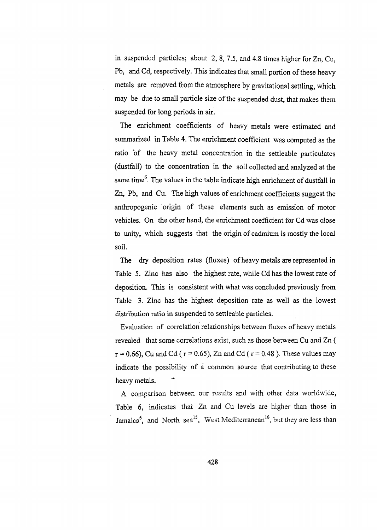in suspended particles; about 2, 8, 7.5, and 4.8 times higher for Zn, Cu, Pb, and Cd, respectively. This indicates that small portion of these heavy metals are removed from the atmosphere by gravitational settling, which may be due to small particle size of the suspended dust, that makes them suspended for long periods in air.

The enrichment coefficients of heavy metals were estimated and summarized in Table 4. The enrichment coefficient was computed as the ratio of the heavy metal concentration in the settleable particulates (dustfall) to the concentration in the soil collected and analyzed at the same time<sup>6</sup>. The values in the table indicate high enrichment of dustfall in Zn, Pb, and Cu. The high values of enrichment coefficients suggest the anthropogenic origin of these elements such as emission of motor vehicles. On the other hand, the enrichment coefficient for Cd was close to unity, which suggests that the origin of cadmium is mostly the local soil.

The dry deposition rates (fluxes) of heavy metals are represented in Table 5. Zinc has also the highest rate, while Cd has the lowest rate of deposition. This is consistent with what was concluded previously from Table 3. Zinc has the highest deposition rate as well as the lowest distribution ratio in suspended to settleable particles.

Evaluation of correlation relationships between fluxes of heavy metals revealed that some correlations exist, such as those between Cu and Zn (  $r = 0.66$ , Cu and Cd ( $r = 0.65$ ), Zn and Cd ( $r = 0.48$ ). These values may indicate the possibility of a common source that contributing to these heavy metals.

A comparison between our results and with other data worldwide, Table *6,* indicates that Zn and Cu levels are higher than those in Jamaica<sup>6</sup>, and North sea<sup>15</sup>, West Mediterranean<sup>16</sup>, but they are less than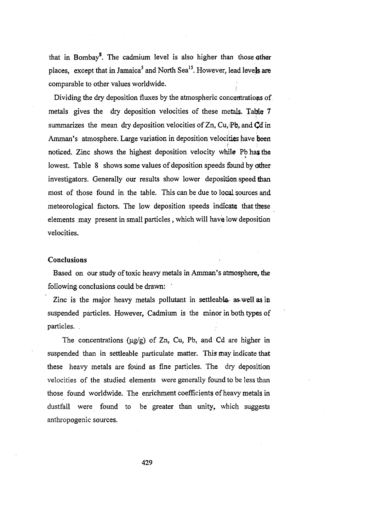that in Bombay<sup>8</sup>. The cadmium level is also higher than those other places, except that in Jamaica<sup>5</sup> and North Sea<sup>15</sup>. However, lead leve**ls are** comparable to other values worldwide.

Dividing the dry deposition fluxes by the atmospheric concentrations of metals gives the dry deposition velocities of these metals. Table 7 summarizes the mean dry deposition velocities of Zn, Cu, Pb, and Cd in Amman's atmosphere. Large variation in deposition velocities have been noticed. Zinc shows the highest deposition velocity while Pb has the lowest. Table 8 shows some values of deposition speeds found by other investigators. Generally our results show lower deposition speed than most of those found in the table. This can be due to local sources and meteorological factors. The low deposition speeds indicate that these elements may present in small particles, which will have low deposition velocities.

### **Conclusions**

Based on our study of toxic heavy metals in Amman's atmosphere, the following conclusions could be drawn:

Zinc is the major heavy metals pollutant in settleable as well as in suspended particles. However, Cadmium is the minor in both types of particles. .

The concentrations  $(\mu g/g)$  of Zn, Cu, Pb, and Cd are higher in suspended than in settleable particulate matter. This may indicate that these heavy metals are found as fine particles. The dry deposition velocities of the studied elements were generally found to be less than those found worldwide. The enrichment coefficients of heavy metals in dustfall were found to be greater than unity, which suggests anthropogenic sources.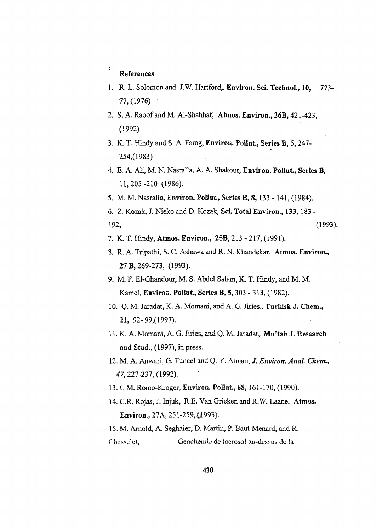### References

- 1. R. L. Solomon and J.W. Hartford,. Environ. Sci. Technol., 10, 773-77,(1976)
- 2. S. A. Raoof and M. Al-Shahhaf, Atmos. Environ., 26B, 421-423. (1992)
- 3. K. T. Hindy and S. A. Farag, Environ. Pollut., Series B, 5,247- 254,(1983)
- 4. E. A. AH, M. N. Nasralla, A. A. Shakour, Environ. Pollut., Series B, 11,205-210 (1986).
- 5. M. M. Nasralla, Environ. Pollut, Series B, 8,133 -141, (1984).
- 6. Z. Kozak, J. Nieko and D. Kozak, Sci. Total Environ., 133, 183 192, (1993).
- 7. K. T. Hindy, Atmos. Environ., 25B, 213 217, (1991).
- 8. R. A. Tripathi, S. C. Ashawa and R. N. Khandekar, Atmos. Environ., 27 B, 269-273, (1993).
- 9. M. F. El-Ghandour, M. S. Abdel Salam, K. T. Hindy, and M. M. Kamel, Environ. Pollut., Series B, 5,303 - 313, (1982).
- 10. Q. M. Jaradat, K. A. Momani, and A. G. Jiries,. Turkish J. Chem., 21, 92-99,(1997).
- 11. K. A. Momani, A. G. Jiries, and Q. M. Jaradat,. Mu'tah J. Research and Stud., (1997), in press.
- 12. M. A. Anwari, G. Tuncel and Q. Y. Atrnan, /. *Environ. Anal Chem., 47,* 227-237, (1992).
- 13. C M. Romo-Kroger, Environ. Pollut, 68,161-170, (1990).
- 14. C.R. Rojas, J. Injuk, R.E. Van Grieken and R.W. Laane, Atmos. Environ., 27 A, 251-259,(1993).

15. M. Arnold, A. Seghaier, D. Martin, P, Baut-Menard, and R. Chesselet, Geochemie de laerosol au-dessus de Ja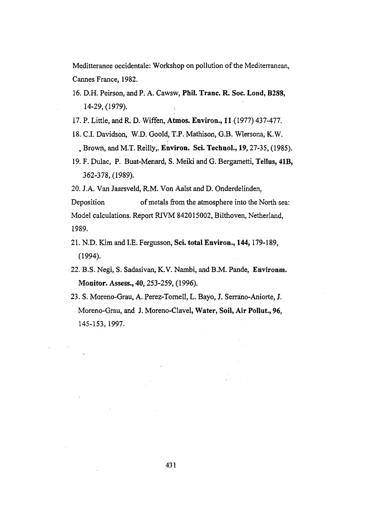Meditteranee occidentale: Workshop on pollution of the Mediterranean, Cannes France, 1982.

- 16. D.H. Peirson, and P. A. Cawsw, **Phil. Tranc. R. Soc. Lond, B288,** 14-29, (1979).
- 17. P. Little, and R. D. Wiffen, **Atmos. Environ., 11** (1977) 437-477.
- 18. C.I. Davidson, W.D. Goold, T.P. Mathison, G.B. Wlersona, K.W. . Brown, and M.T. Reilly,. **Environ. Sci. Technol., 19,**27-35, (1985).
- 19. F. Dulac, P. Buat-Menard, S. Meiki and G. Bergametti, Tellus, **41B,** 362-378,(1989).

20. J.A. Van Jaarsveld, R.M. Von Aalst and D. Onderdelinden,

Deposition of metals from the atmosphere into the North sea: Model calculations. Report RIVM 842015002, Bilthoven, Netherland, 1989.

- 21. N.D. Kim and I.E. Fergusson, **Sci. total Environ., 144,**179-189, (1994).
- 22. B.S. Negi, S. Sadasivan, K.V. Nambi, and B.M. Pande, **Environm.** Monitor. Assess., 40,253-259, (1996).
- 23. S. Moreno-Grau, A. Perez-Tornell, L. Bayo, J. Serrano-Aniorte, J. Moreno-Grau, and J. Moreno-Clavel, **Water, Soil, Air Pollut, 96,** 145-153,1997.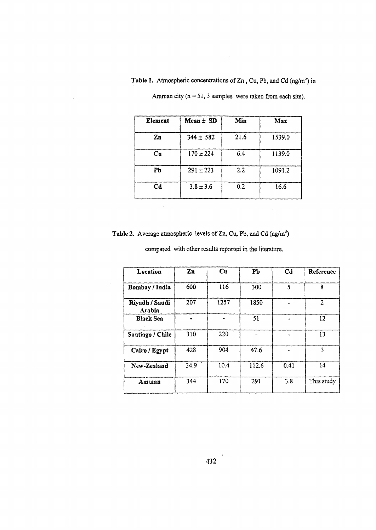Table 1. Atmospheric concentrations of  $Zn$ , Cu, Pb, and Cd  $(ng/m<sup>3</sup>)$  in

| Element                | $Mean \pm SD$ | Min  | Max    |
|------------------------|---------------|------|--------|
| $\mathbf{Zn}$          | $344 \pm 582$ | 21.6 | 1539.0 |
| $\mathbf{C}\mathbf{u}$ | $170 \pm 224$ | 6.4  | 1139.0 |
| Pb                     | $291 \pm 223$ | 2.2  | 1091.2 |
| $_{\rm Cd}$            | $3.8 \pm 3.6$ | 0.2  | 16.6   |

Amman city  $(n = 51, 3$  samples were taken from each site).

**Table 2.** Average atmospheric levels of Zn, Cu, Pb, and Cd  $(ng/m<sup>3</sup>)$ 

compared with other results reported in the literature.

| Location                 | $\mathbf{Zn}$ | Cu   | Pb    | Cd   | Reference      |
|--------------------------|---------------|------|-------|------|----------------|
| Bombay / India           | 600           | 116  | 300   | 5    | 8              |
| Riyadh / Saudi<br>Arabia | 207           | 1257 | 1850  |      | $\overline{2}$ |
| <b>Black Sea</b>         |               |      | 51    |      | 12             |
| Santiago / Chile         | 310           | 220  |       |      | 13             |
| Cairo / Egypt            | 428           | 904  | 47.6  |      | 3              |
| New-Zealand              | 34.9          | 10.4 | 112.6 | 0.41 | 14             |
| Amman                    | 344           | 170  | 291   | 3.8  | This study     |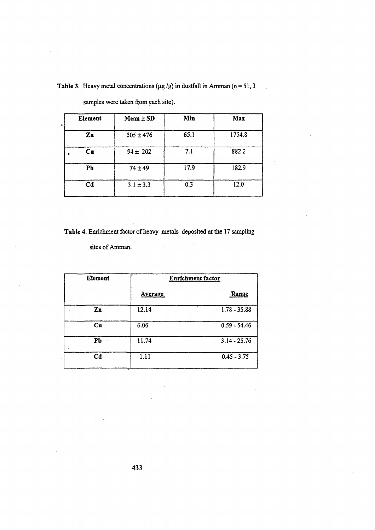Table 3. Heavy metal concentrations ( $\mu$ g /g) in dustfall in Amman (n = 51, 3

 $\mathbb{R}^2$ 

| Element        | $Mean \pm SD$ | Min  | Max    |
|----------------|---------------|------|--------|
| Zn             | $505 \pm 476$ | 65.1 | 1754.8 |
| Cu             | $94 \pm 202$  | 7.1  | 882.2  |
| Pb             | $74 \pm 49$   | 17.9 | 182.9  |
| C <sub>d</sub> | $3.1 \pm 3.3$ | 0.3  | 12.0   |

samples were taken from each site).

J.

Table 4. Enrichment factor of heavy metals deposited at the 17 sampling

 $\bar{\gamma}$ 

sites of Amman.

| <b>Element</b> | <b>Enrichment factor</b> |                |  |
|----------------|--------------------------|----------------|--|
|                | <b>Average</b>           | Range          |  |
| Zn             | 12.14                    | $1.78 - 35.88$ |  |
| $cu$           | 6.06                     | $0.59 - 54.46$ |  |
| Pb             | 11.74                    | $3.14 - 25.76$ |  |
| C <sub>d</sub> | 1.11                     | $0.45 - 3.75$  |  |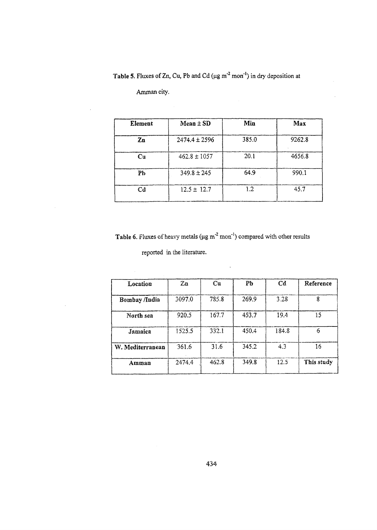Table 5. Fluxes of Zn, Cu, Pb and Cd ( $\mu$ g m<sup>-2</sup> mon<sup>-1</sup>) in dry deposition at

Amman city.

 $\ddot{\phantom{a}}$ 

 $\mathcal{A}$ 

 $\sim$ 

| Element        | $Mean \pm SD$     | Min   | Max    |
|----------------|-------------------|-------|--------|
| $\mathbf{Zn}$  | $2474.4 \pm 2596$ | 385.0 | 9262.8 |
| $\mathbf{C}$ u | $462.8 \pm 1057$  | 20.1  | 4656.8 |
| PЬ             | $349.8 \pm 245$   | 64.9  | 990.1  |
| Cd             | $12.5 \pm 12.7$   | 1.2   | 45.7   |

 $\overline{\phantom{a}}$ 

**Table 6.** Fluxes of heavy metals ( $\mu$ g m<sup>-2</sup> mon<sup>-1</sup>) compared with other results

reported in the literature.

| Location         | $\mathbb{Z}$ n | Cu    | Pb    | $C_{0}$ | Reference  |
|------------------|----------------|-------|-------|---------|------------|
| Bombay /India    | 3097.0         | 785.8 | 269.9 | 3.28    | 8          |
| North sea        | 920.5          | 167.7 | 453.7 | 19.4    | 15         |
| Jamaica          | 1525.5         | 332.1 | 450.4 | 184.8   | 6          |
| W. Mediterranean | 361.6          | 31.6  | 345.2 | 4.3     | 16         |
| Amman            | 2474.4         | 462.8 | 349.8 | 12.5    | This study |

 $\bar{\beta}$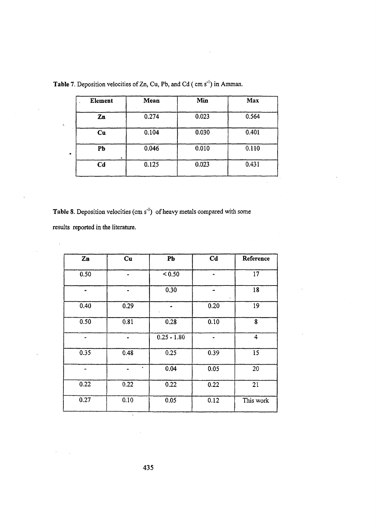| Mean  | Min   | Max   |
|-------|-------|-------|
| 0.274 | 0.023 | 0.564 |
| 0.104 | 0.030 | 0.401 |
| 0.046 | 0.010 | 0.110 |
| 0.125 | 0.023 | 0.431 |
|       |       |       |

Table 7. Deposition velocities of Zn, Cu, Pb, and Cd (cm s<sup>-1</sup>) in Amman.

Table 8. Deposition velocities (cm s<sup>-1</sup>) of heavy metals compared with some

results reported in the literature.

 $\overline{\phantom{a}}$ 

 $\bar{\bar{c}}$ 

 $\hat{\mathcal{A}}$ 

| $\mathbf{Zn}$ | Cu        | Pb            | C <sub>d</sub> | Reference |
|---------------|-----------|---------------|----------------|-----------|
| 0.50          |           | < 0.50        | ۰              | 17        |
| $\bullet$     | $\bullet$ | 0.30          | $\blacksquare$ | 18        |
| 0.40          | 0.29      |               | 0.20           | 19        |
| 0.50          | 0.81      | 0.28          | 0.10           | 8         |
|               |           | $0.25 - 1.80$ | ۰              | 4         |
| 0.35          | 0.48      | 0.25          | 0.39           | 15        |
|               | ٠         | 0.04          | 0.05           | 20        |
| 0.22          | 0.22      | 0.22          | 0.22           | 21        |
| 0.27          | 0.10      | 0.05          | 0.12           | This work |